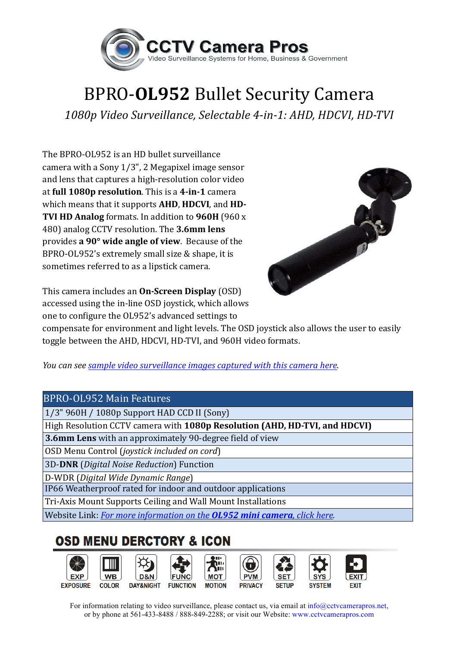

## **BPRO-OL952 Bullet Security Camera**

*1080p Video Surveillance, Selectable 4-in-1: AHD, HDCVI, HD-TVI*

The BPRO-OL952 is an HD bullet surveillance camera with a Sony  $1/3$ ", 2 Megapixel image sensor and lens that captures a high-resolution color video at full 1080p resolution. This is a 4-in-1 camera which means that it supports **AHD**, **HDCVI**, and **HD**-**TVI HD Analog** formats. In addition to 960H (960 x) 480) analog CCTV resolution. The 3.6mm lens provides **a 90° wide angle of view**. Because of the BPRO-OL952's extremely small size  $&$  shape, it is sometimes referred to as a lipstick camera.



This camera includes an **On-Screen Display** (OSD) accessed using the in-line OSD joystick, which allows one to configure the OL952's advanced settings to

compensate for environment and light levels. The OSD joystick also allows the user to easily toggle between the AHD, HDCVI, HD-TVI, and 960H video formats.

*You can see sample video surveillance images captured with this camera here*.

## BPRO-OL952 Main Features

1/3" 960H / 1080p Support HAD CCD II (Sony)

High Resolution CCTV camera with **1080p Resolution (AHD, HD-TVI, and HDCVI)**

**3.6mm Lens** with an approximately 90-degree field of view

OSD Menu Control (*joystick included on cord*)

3D-**DNR** (*Digital Noise Reduction*) Function

D-WDR (*Digital Wide Dynamic Range*)

IP66 Weatherproof rated for indoor and outdoor applications

Tri-Axis Mount Supports Ceiling and Wall Mount Installations

Website Link: *For more information on the OL952 mini camera, click here.* 

## **OSD MENU DERCTORY & ICON**



For information relating to video surveillance, please contact us, via email at info@cctvcamerapros.net, or by phone at 561-433-8488 / 888-849-2288; or visit our Website: www.cctvcamerapros.com